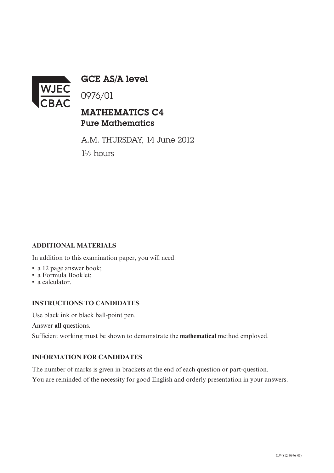

GCE AS/A level

0976/01

## MATHEMATICS C4 Pure Mathematics

A.M. THURSDAY, 14 June 2012 1½ hours

### **ADDITIONAL MATERIALS**

In addition to this examination paper, you will need:

- a 12 page answer book;
- a Formula Booklet;
- a calculator.

#### **INSTRUCTIONS TO CANDIDATES**

Use black ink or black ball-point pen.

Answer **all** questions.

Sufficient working must be shown to demonstrate the **mathematical** method employed.

#### **INFORMATION FOR CANDIDATES**

The number of marks is given in brackets at the end of each question or part-question.

You are reminded of the necessity for good English and orderly presentation in your answers.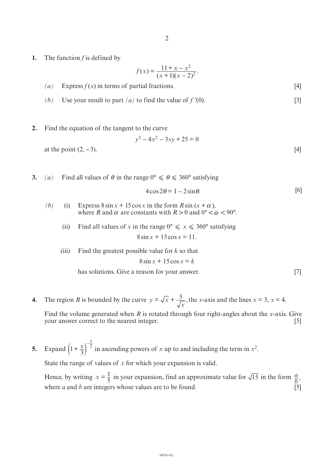**1.** The function *f* is defined by

$$
f(x) = \frac{11 + x - x^2}{(x + 1)(x - 2)^2}.
$$

- $(a)$  Express  $f(x)$  in terms of partial fractions. [4]
- *(b)* Use your result to part *(a)* to find the value of  $f'(0)$ . [3]
- **2.** Find the equation of the tangent to the curve

$$
y^3 - 4x^2 - 3xy + 25 = 0
$$

at the point  $(2, -3)$ . [4]

**3.** *(a)* Find all values of  $\theta$  in the range  $0^{\circ} \le \theta \le 360^{\circ}$  satisfying

$$
4\cos 2\theta = 1 - 2\sin \theta. \tag{6}
$$

- *(b)* (i) Express  $8 \sin x + 15 \cos x$  in the form  $R \sin (x + \alpha)$ , where *R* and  $\alpha$  are constants with  $R > 0$  and  $0^{\circ} < \alpha < 90^{\circ}$ .
	- (ii) Find all values of *x* in the range  $0^{\circ} \le x \le 360^{\circ}$  satisfying

 $8 \sin x + 15 \cos x = 11$ .

(iii) Find the greatest possible value for *k* so that

 $8 \sin x + 15 \cos x = k$ 

has solutions. Give a reason for your answer. [7]

**4.** The region *R* is bounded by the curve  $y = \sqrt{x} + \frac{y}{\sqrt{x}}$ , the *x*-axis and the lines  $x = 3$ ,  $x = 4$ . *x*  $=\sqrt{x} + \frac{5}{\sqrt{x}},$ 

Find the volume generated when *R* is rotated through four right-angles about the *x*-axis. Give your answer correct to the nearest integer. [5]

**5.** Expand  $\left(1+\frac{x}{3}\right)^2$  in ascending powers of *x* up to and including the term in  $x^2$ .  $\left(1+\frac{x}{3}\right)^{-\frac{1}{2}}$ 

State the range of values of *x* for which your expansion is valid.

Hence, by writing  $x = \frac{1}{5}$  in your expansion, find an approximate value for  $\sqrt{15}$  in the form  $\frac{a}{b}$ , where *a* and *b* are integers whose values are to be found.  $\begin{bmatrix} 5 \end{bmatrix}$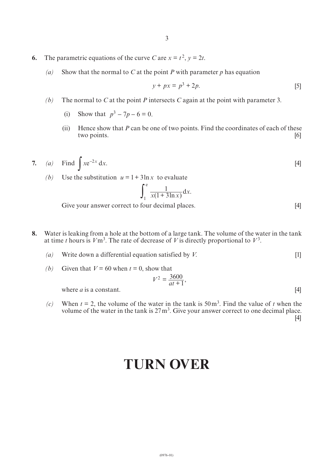- **6.** The parametric equations of the curve *C* are  $x = t^2$ ,  $y = 2t$ .
	- *(a)* Show that the normal to *C* at the point *P* with parameter *p* has equation

$$
y + px = p^3 + 2p.\tag{5}
$$

- *(b)* The normal to *C* at the point *P* intersects *C* again at the point with parameter 3.
	- (i) Show that  $p^3 7p 6 = 0$ .
	- (ii) Hence show that *P* can be one of two points. Find the coordinates of each of these two points. [6]
- **7.** *(a)* Find  $\int xe^{-2x} dx$ . [4]
	- *(b)* Use the substitution  $u = 1 + 3\ln x$  to evaluate

$$
\int_{1}^{e} \frac{1}{x(1+3\ln x)} dx.
$$

Give your answer correct to four decimal places. [4]

- **8.** Water is leaking from a hole at the bottom of a large tank. The volume of the water in the tank at time *t* hours is  $V \text{m}^3$ . The rate of decrease of *V* is directly proportional to  $V^3$ .
	- *(a)* Write down a differential equation satisfied by *V*. [1]
	- *(b)* Given that  $V = 60$  when  $t = 0$ , show that

$$
V^2 = \frac{3600}{at+1},
$$

where  $a$  is a constant. [4]

(c) When  $t = 2$ , the volume of the water in the tank is 50 m<sup>3</sup>. Find the value of *t* when the volume of the water in the tank is  $27 \text{ m}^3$ . Give your answer correct to one decimal place.

[4]

# **TURN OVER**